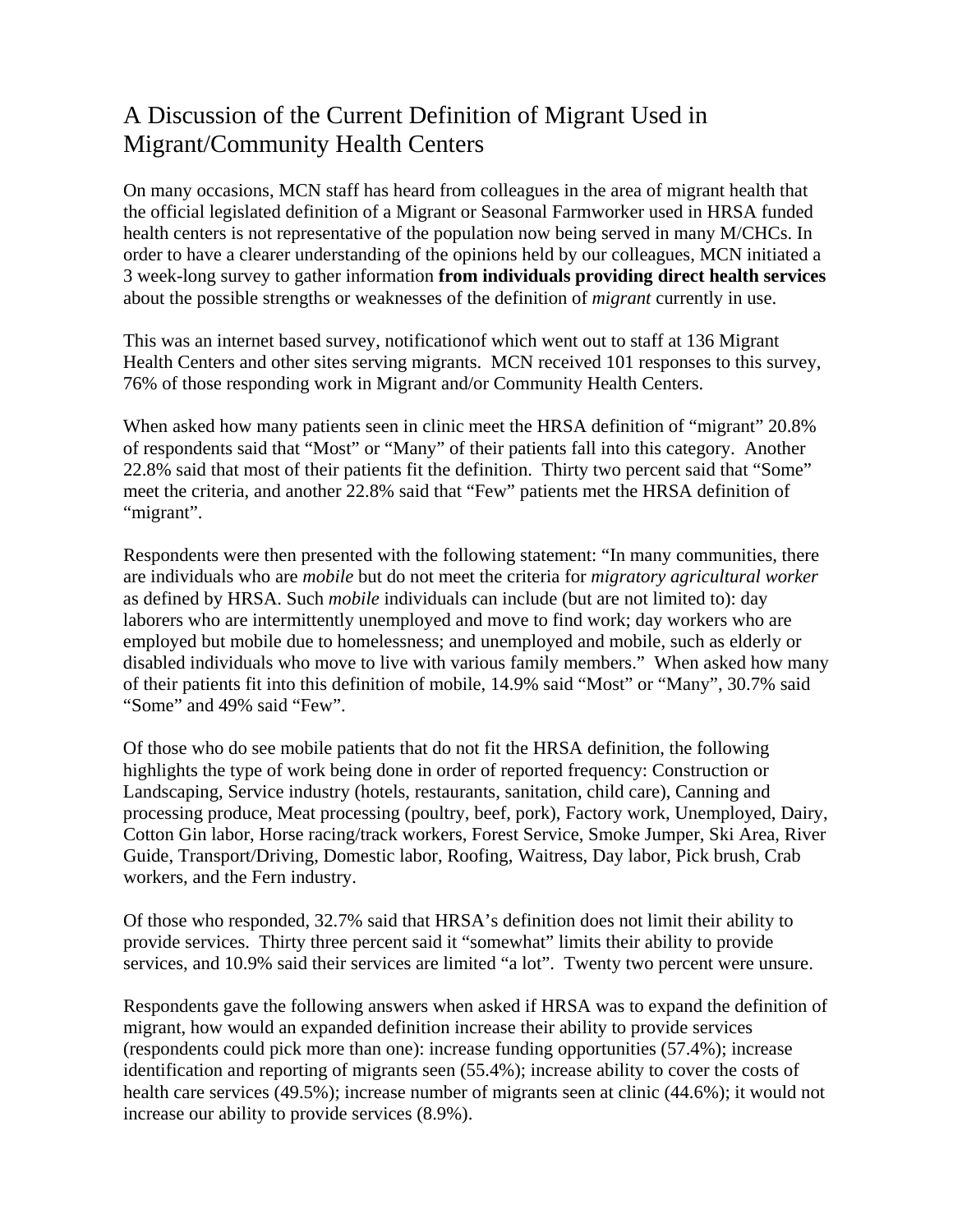## A Discussion of the Current Definition of Migrant Used in Migrant/Community Health Centers

On many occasions, MCN staff has heard from colleagues in the area of migrant health that the official legislated definition of a Migrant or Seasonal Farmworker used in HRSA funded health centers is not representative of the population now being served in many M/CHCs. In order to have a clearer understanding of the opinions held by our colleagues, MCN initiated a 3 week-long survey to gather information **from individuals providing direct health services** about the possible strengths or weaknesses of the definition of *migrant* currently in use.

This was an internet based survey, notificationof which went out to staff at 136 Migrant Health Centers and other sites serving migrants. MCN received 101 responses to this survey, 76% of those responding work in Migrant and/or Community Health Centers.

When asked how many patients seen in clinic meet the HRSA definition of "migrant" 20.8% of respondents said that "Most" or "Many" of their patients fall into this category. Another 22.8% said that most of their patients fit the definition. Thirty two percent said that "Some" meet the criteria, and another 22.8% said that "Few" patients met the HRSA definition of "migrant".

Respondents were then presented with the following statement: "In many communities, there are individuals who are *mobile* but do not meet the criteria for *migratory agricultural worker* as defined by HRSA. Such *mobile* individuals can include (but are not limited to): day laborers who are intermittently unemployed and move to find work; day workers who are employed but mobile due to homelessness; and unemployed and mobile, such as elderly or disabled individuals who move to live with various family members." When asked how many of their patients fit into this definition of mobile, 14.9% said "Most" or "Many", 30.7% said "Some" and 49% said "Few".

Of those who do see mobile patients that do not fit the HRSA definition, the following highlights the type of work being done in order of reported frequency: Construction or Landscaping, Service industry (hotels, restaurants, sanitation, child care), Canning and processing produce, Meat processing (poultry, beef, pork), Factory work, Unemployed, Dairy, Cotton Gin labor, Horse racing/track workers, Forest Service, Smoke Jumper, Ski Area, River Guide, Transport/Driving, Domestic labor, Roofing, Waitress, Day labor, Pick brush, Crab workers, and the Fern industry.

Of those who responded, 32.7% said that HRSA's definition does not limit their ability to provide services. Thirty three percent said it "somewhat" limits their ability to provide services, and 10.9% said their services are limited "a lot". Twenty two percent were unsure.

Respondents gave the following answers when asked if HRSA was to expand the definition of migrant, how would an expanded definition increase their ability to provide services (respondents could pick more than one): increase funding opportunities (57.4%); increase identification and reporting of migrants seen (55.4%); increase ability to cover the costs of health care services (49.5%); increase number of migrants seen at clinic (44.6%); it would not increase our ability to provide services (8.9%).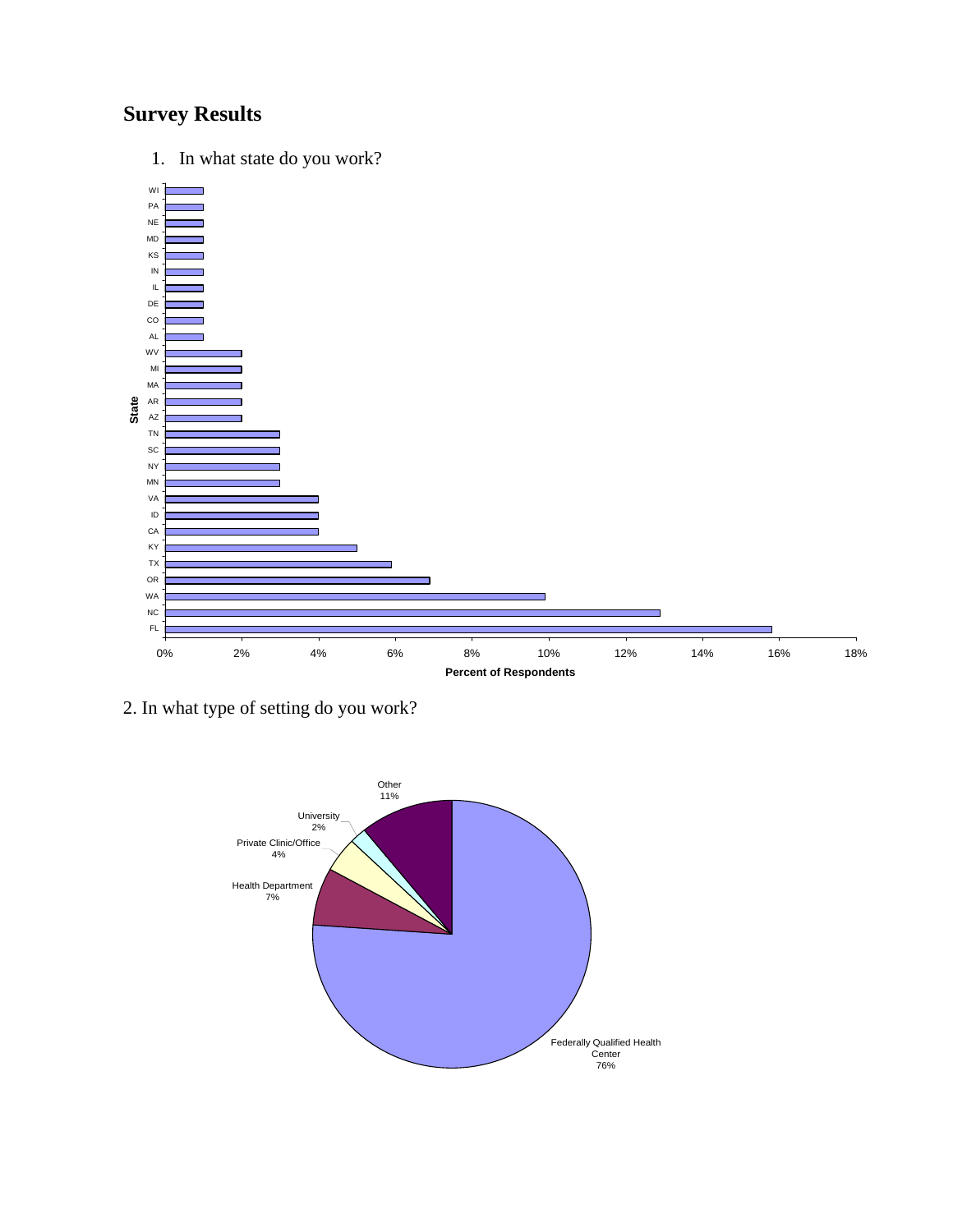## **Survey Results**

1. In what state do you work?



2. In what type of setting do you work?

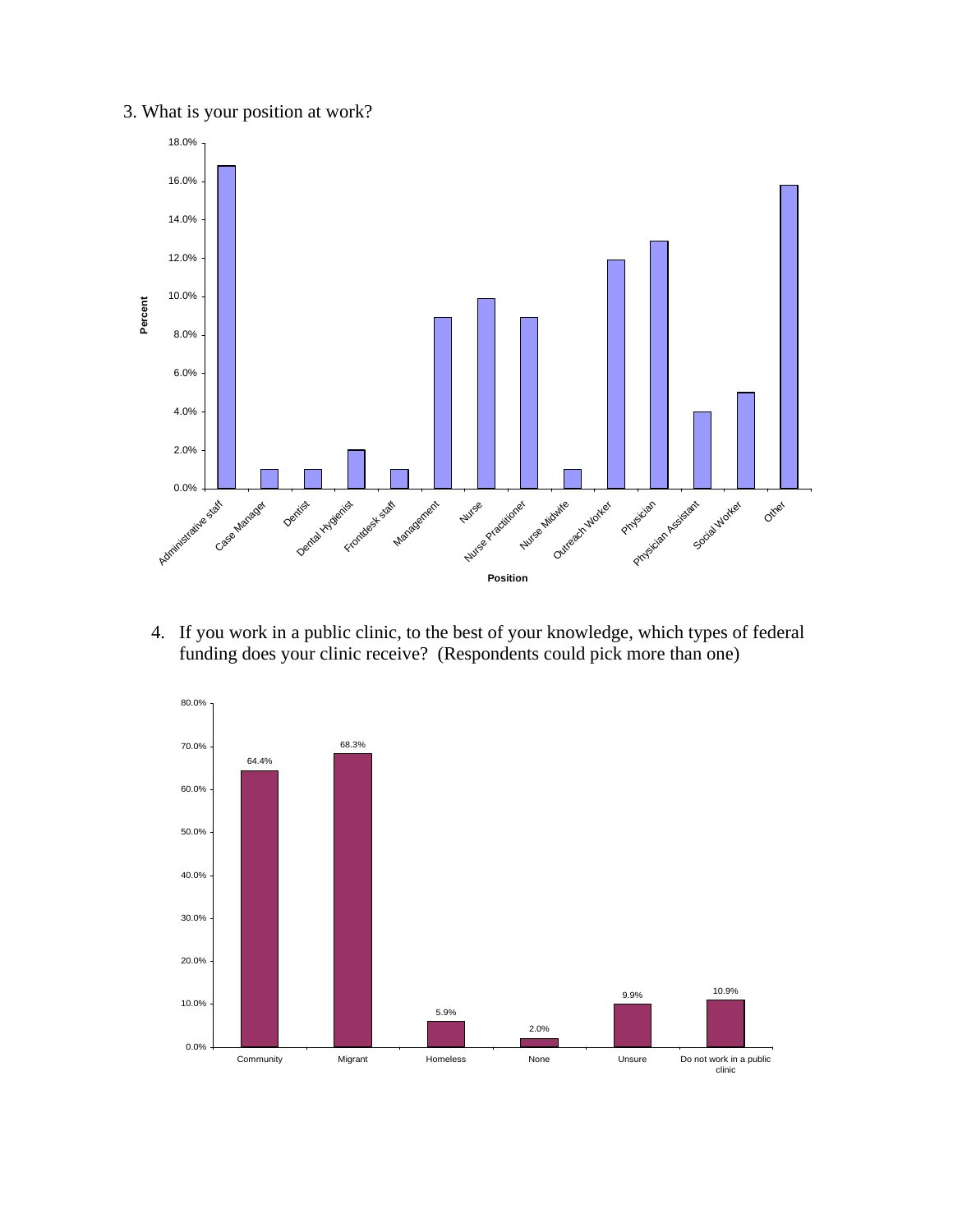3. What is your position at work?



4. If you work in a public clinic, to the best of your knowledge, which types of federal funding does your clinic receive? (Respondents could pick more than one)

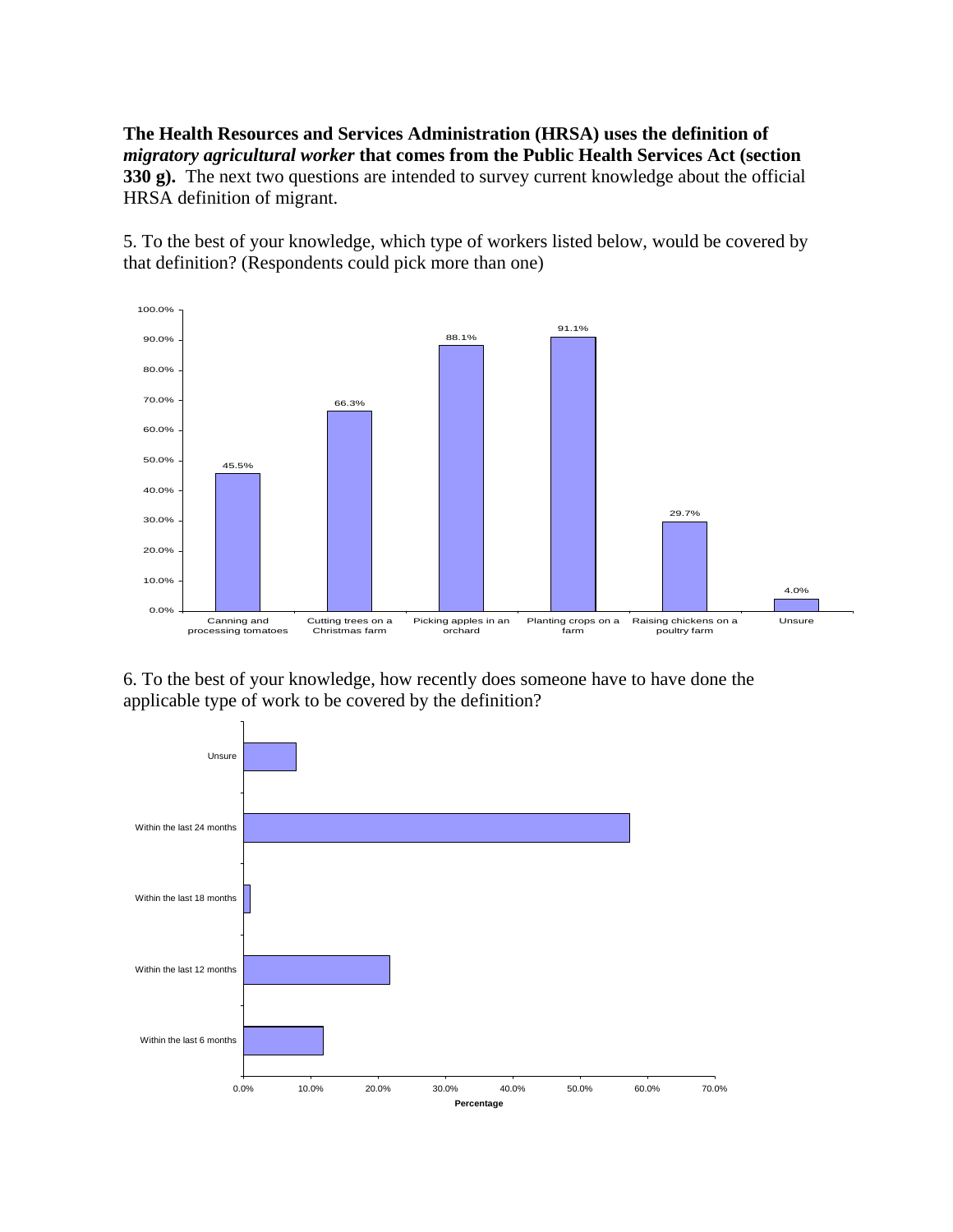**The Health Resources and Services Administration (HRSA) uses the definition of**  *migratory agricultural worker* **that comes from the Public Health Services Act (section 330 g).** The next two questions are intended to survey current knowledge about the official HRSA definition of migrant.

5. To the best of your knowledge, which type of workers listed below, would be covered by that definition? (Respondents could pick more than one)



6. To the best of your knowledge, how recently does someone have to have done the applicable type of work to be covered by the definition?

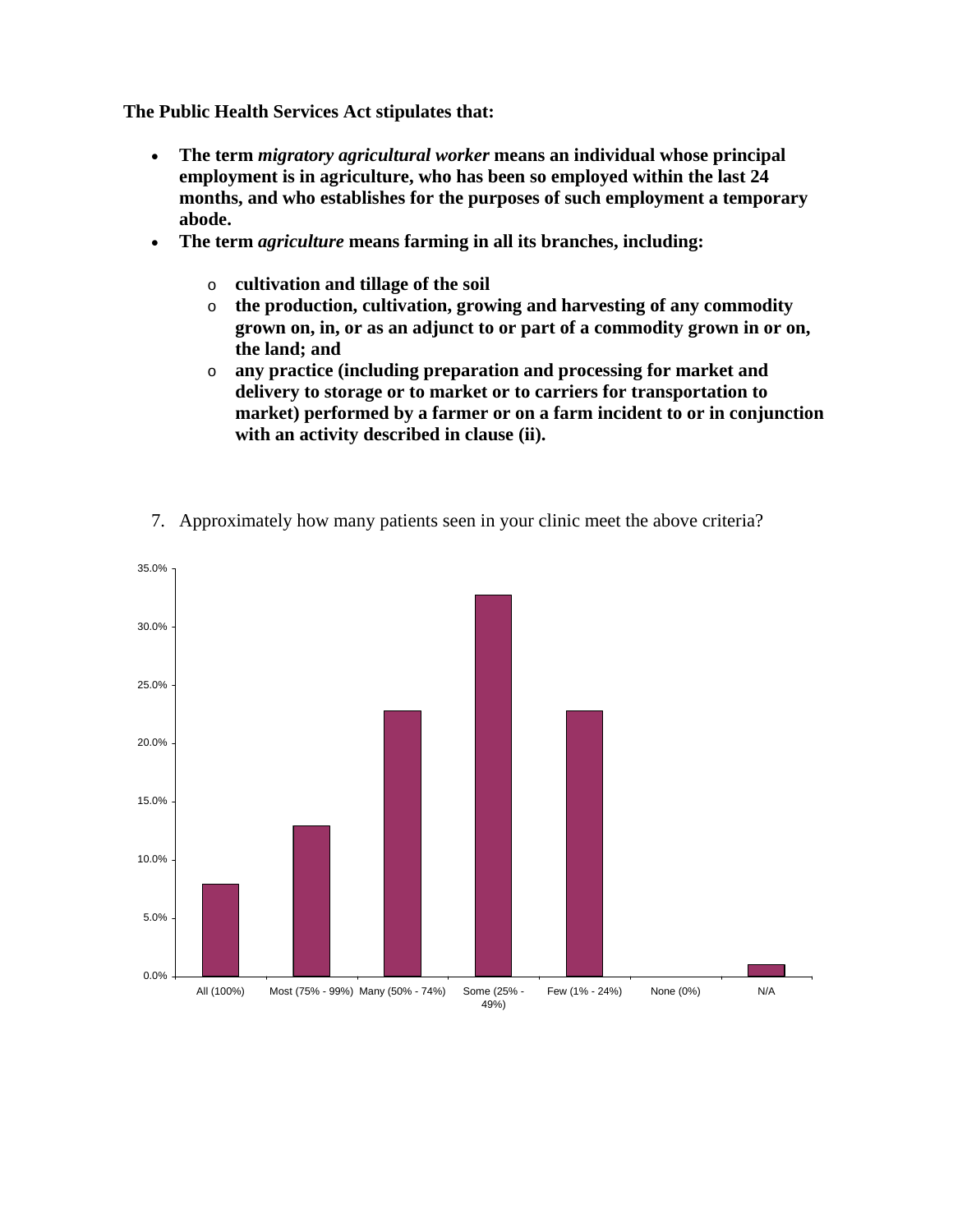**The Public Health Services Act stipulates that:** 

- **The term** *migratory agricultural worker* **means an individual whose principal employment is in agriculture, who has been so employed within the last 24 months, and who establishes for the purposes of such employment a temporary abode.**
- **The term** *agriculture* **means farming in all its branches, including:** 
	- o **cultivation and tillage of the soil**
	- o **the production, cultivation, growing and harvesting of any commodity grown on, in, or as an adjunct to or part of a commodity grown in or on, the land; and**
	- o **any practice (including preparation and processing for market and delivery to storage or to market or to carriers for transportation to market) performed by a farmer or on a farm incident to or in conjunction with an activity described in clause (ii).**



7. Approximately how many patients seen in your clinic meet the above criteria?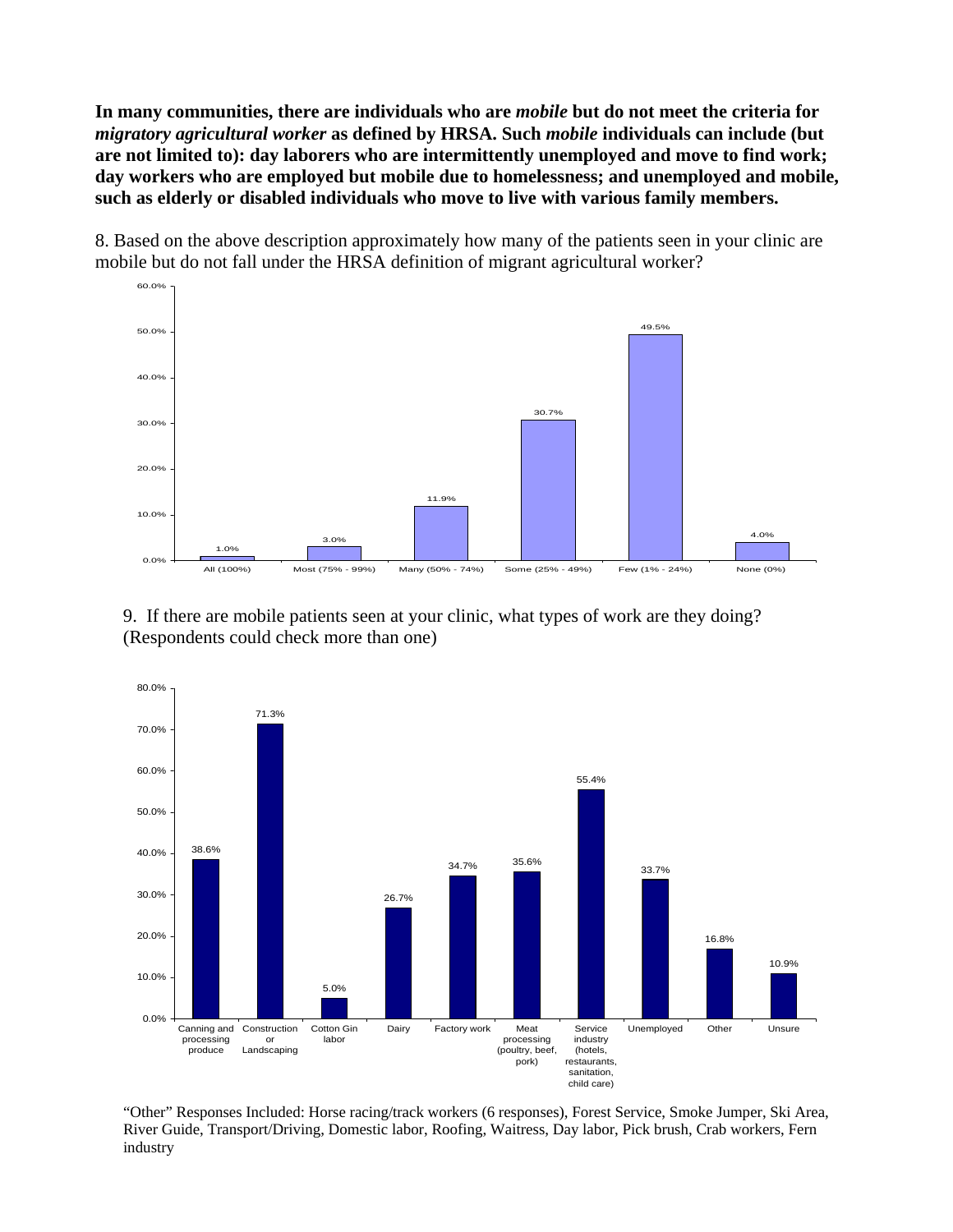**In many communities, there are individuals who are** *mobile* **but do not meet the criteria for**  *migratory agricultural worker* **as defined by HRSA. Such** *mobile* **individuals can include (but are not limited to): day laborers who are intermittently unemployed and move to find work; day workers who are employed but mobile due to homelessness; and unemployed and mobile, such as elderly or disabled individuals who move to live with various family members.** 

8. Based on the above description approximately how many of the patients seen in your clinic are mobile but do not fall under the HRSA definition of migrant agricultural worker?



9. If there are mobile patients seen at your clinic, what types of work are they doing? (Respondents could check more than one)



"Other" Responses Included: Horse racing/track workers (6 responses), Forest Service, Smoke Jumper, Ski Area, River Guide, Transport/Driving, Domestic labor, Roofing, Waitress, Day labor, Pick brush, Crab workers, Fern industry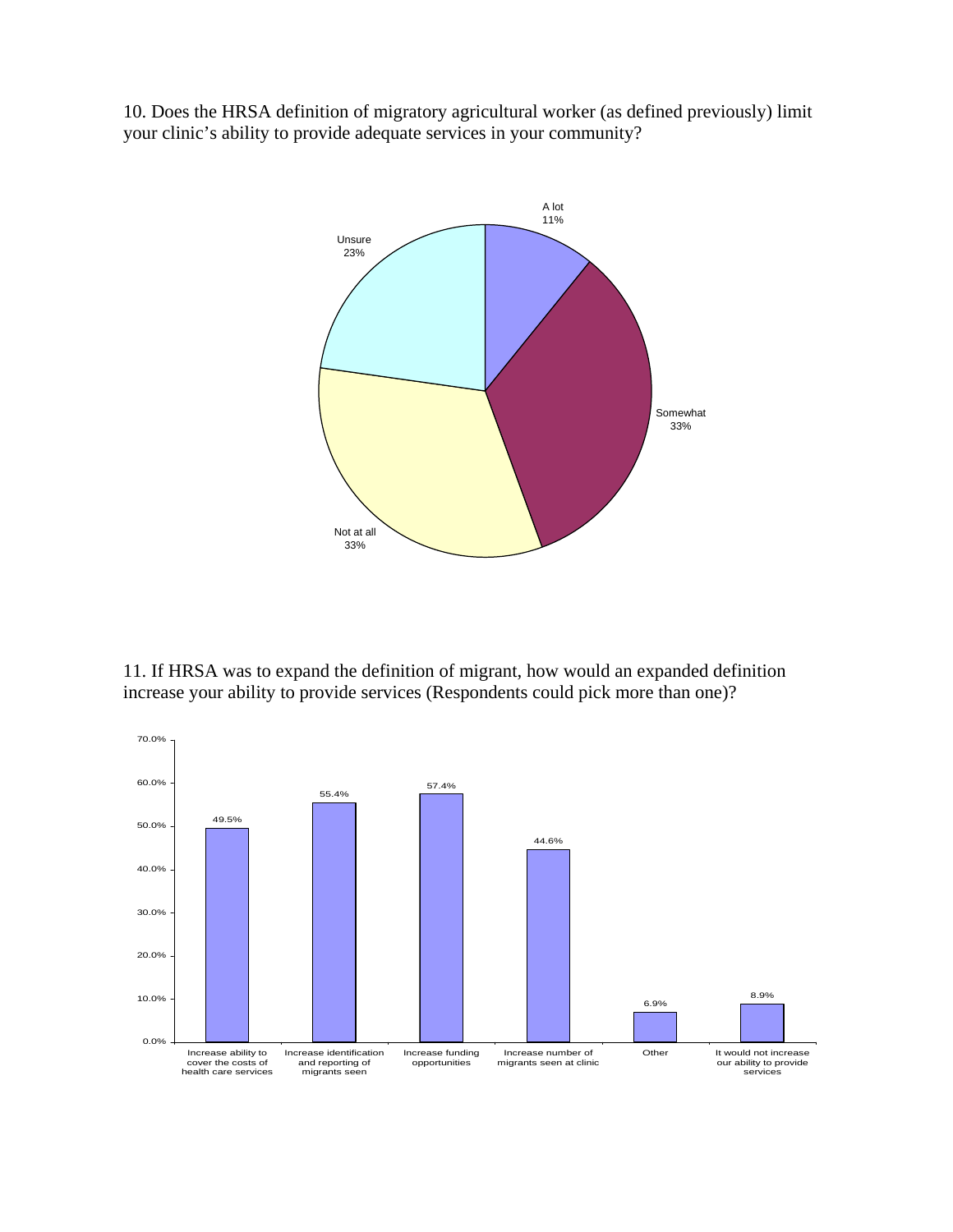10. Does the HRSA definition of migratory agricultural worker (as defined previously) limit your clinic's ability to provide adequate services in your community?



11. If HRSA was to expand the definition of migrant, how would an expanded definition increase your ability to provide services (Respondents could pick more than one)?